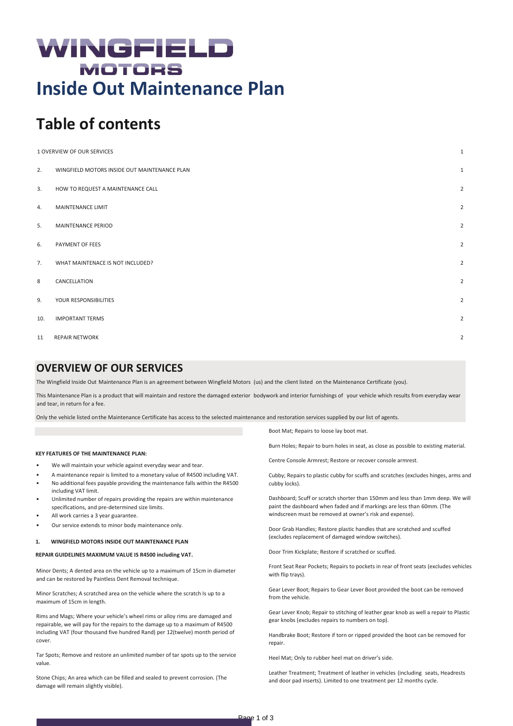# WINGFIELD **MOTORS Inside Out Maintenance Plan**

# **Table of contents**

| $\mathbf{1}$<br>1 OVERVIEW OF OUR SERVICES |                                              |                |
|--------------------------------------------|----------------------------------------------|----------------|
| 2.                                         | WINGFIELD MOTORS INSIDE OUT MAINTENANCE PLAN | $\mathbf{1}$   |
| 3.                                         | HOW TO REQUEST A MAINTENANCE CALL            | $\overline{2}$ |
| 4.                                         | MAINTENANCE LIMIT                            | $\overline{2}$ |
| 5.                                         | <b>MAINTENANCE PERIOD</b>                    | $\overline{2}$ |
| 6.                                         | PAYMENT OF FEES                              | $\overline{2}$ |
| 7.                                         | WHAT MAINTENACE IS NOT INCLUDED?             | $\overline{2}$ |
| 8                                          | CANCELLATION                                 | $\overline{2}$ |
| 9.                                         | YOUR RESPONSIBILITIES                        | $\overline{2}$ |
| 10.                                        | <b>IMPORTANT TERMS</b>                       | $\overline{2}$ |
| 11                                         | <b>REPAIR NETWORK</b>                        | $\overline{2}$ |

# <span id="page-0-0"></span>**OVERVIEW OF OUR SERVICES**

The Wingfield Inside Out Maintenance Plan is an agreement between Wingfield Motors (us) and the client listed on the Maintenance Certificate (you).

This Maintenance Plan is a product that will maintain and restore the damaged exterior bodywork and interior furnishings of your vehicle which results from everyday wear and tear, in return for a fee.

Only the vehicle listed onthe Maintenance Certificate has access to the selected maintenance and restoration services supplied by our list of agents.

# **KEY FEATURES OF THE MAINTENANCE PLAN:**

- We will maintain your vehicle against everyday wear and tear.
- A maintenance repair is limited to a monetary value of R4500 including VAT. • No additional fees payable providing the maintenance falls within the R4500 including VAT limit.
- Unlimited number of repairs providing the repairs are within maintenance specifications, and pre-determined size limits.
- All work carries a 3 year guarantee.
- Our service extends to minor body maintenance only.

# <span id="page-0-1"></span>**1. WINGFIELD MOTORS INSIDE OUT MAINTENANCE PLAN**

#### **REPAIR GUIDELINES MAXIMUM VALUE IS R4500 including VAT.**

Minor Dents; A dented area on the vehicle up to a maximum of 15cm in diameter and can be restored by Paintless Dent Removal technique.

Minor Scratches; A scratched area on the vehicle where the scratch Is up to a maximum of 15cm in length.

Rims and Mags; Where your vehicle's wheel rims or alloy rims are damaged and repairable, we will pay for the repairs to the damage up to a maximum of R4500 including VAT (four thousand five hundred Rand) per 12(twelve) month period of cover.

Tar Spots; Remove and restore an unlimited number of tar spots up to the service value.

Stone Chips; An area which can be filled and sealed to prevent corrosion. (The damage will remain slightly visible).

Boot Mat; Repairs to loose lay boot mat.

Burn Holes; Repair to burn holes in seat, as close as possible to existing material.

Centre Console Armrest; Restore or recover console armrest.

Cubby; Repairs to plastic cubby for scuffs and scratches (excludes hinges, arms and cubby locks).

Dashboard; Scuff or scratch shorter than 150mm and less than 1mm deep. We will paint the dashboard when faded and if markings are less than 60mm. (The windscreen must be removed at owner's risk and expense).

Door Grab Handles; Restore plastic handles that are scratched and scuffed (excludes replacement of damaged window switches).

Door Trim Kickplate; Restore if scratched or scuffed.

Front Seat Rear Pockets; Repairs to pockets in rear of front seats (excludes vehicles with flip trays).

Gear Lever Boot; Repairs to Gear Lever Boot provided the boot can be removed from the vehicle.

Gear Lever Knob; Repair to stitching of leather gear knob as well a repair to Plastic gear knobs (excludes repairs to numbers on top).

Handbrake Boot; Restore if torn or ripped provided the boot can be removed for repair.

Heel Mat; Only to rubber heel mat on driver's side.

Leather Treatment; Treatment of leather in vehicles (including seats, Headrests and door pad inserts). Limited to one treatment per 12 months cycle.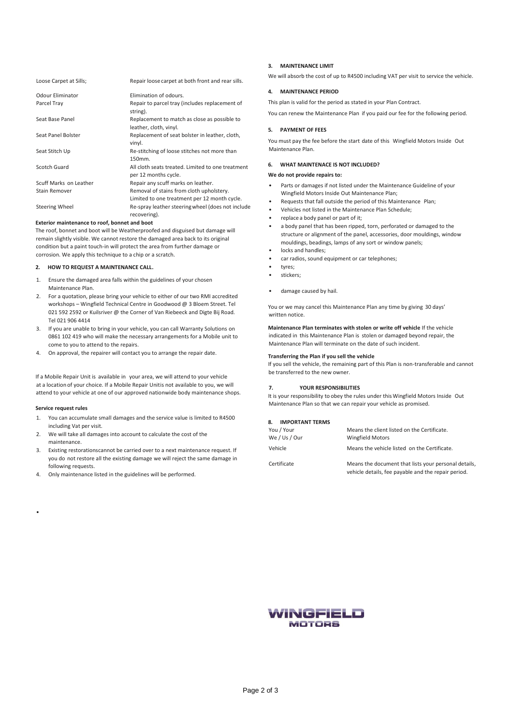| Loose Carpet at Sills; | Repair loose carpet at both front and rear sills.                                        |
|------------------------|------------------------------------------------------------------------------------------|
| Odour Eliminator       | Elimination of odours.                                                                   |
| Parcel Tray            | Repair to parcel tray (includes replacement of<br>string).                               |
| Seat Base Panel        | Replacement to match as close as possible to<br>leather, cloth, vinyl.                   |
| Seat Panel Bolster     | Replacement of seat bolster in leather, cloth,<br>vinyl.                                 |
| Seat Stitch Up         | Re-stitching of loose stitches not more than<br>150mm.                                   |
| Scotch Guard           | All cloth seats treated. Limited to one treatment<br>per 12 months cycle.                |
| Scuff Marks on Leather | Repair any scuff marks on leather.                                                       |
| Stain Remover          | Removal of stains from cloth upholstery.<br>Limited to one treatment per 12 month cycle. |
| <b>Steering Wheel</b>  | Re-spray leather steering wheel (does not include<br>recovering).                        |

# **Exterior maintenance to roof, bonnet and boot**

The roof, bonnet and boot will be Weatherproofed and disguised but damage will remain slightly visible. We cannot restore the damaged area back to its original condition but a paint touch-in will protect the area from further damage or corrosion. We apply this technique to a chip or a scratch.

## <span id="page-1-0"></span>**2. HOW TO REQUEST A MAINTENANCE CALL.**

- 1. Ensure the damaged area falls within the guidelines of your chosen Maintenance Plan.
- 2. For a quotation, please bring your vehicle to either of our two RMI accredited workshops – Wingfield Technical Centre in Goodwood @ 3 Bloem Street. Tel 021 592 2592 or Kuilsriver @ the Corner of Van Riebeeck and Digte Bij Road. Tel 021 906 4414
- 3. If you are unable to bring in your vehicle, you can call Warranty Solutions on 0861 102 419 who will make the necessary arrangements for a Mobile unit to come to you to attend to the repairs.
- 4. On approval, the repairer will contact you to arrange the repair date.

If a Mobile Repair Unit is available in your area, we will attend to your vehicle at a location of your choice. If a Mobile Repair Unitis not available to you, we will attend to your vehicle at one of our approved nationwide body maintenance shops.

#### **Service request rules**

•

- 1. You can accumulate small damages and the service value is limited to R4500 including Vat per visit.
- 2. We will take all damages into account to calculate the cost of the maintenance.
- 3. Existing restorationscannot be carried over to a next maintenance request. If you do not restore all the existing damage we will reject the same damage in following requests.
- 4. Only maintenance listed in the guidelines will be performed.

# <span id="page-1-1"></span>**3. MAINTENANCE LIMIT**

We will absorb the cost of up to R4500 including VAT per visit to service the vehicle.

# <span id="page-1-2"></span>**4. MAINTENANCE PERIOD**

This plan is valid for the period as stated in your Plan Contract.

You can renew the Maintenance Plan if you paid our fee for the following period.

# <span id="page-1-3"></span>**5. PAYMENT OF FEES**

You must pay the fee before the start date of this Wingfield Motors Inside Out Maintenance Plan.

# <span id="page-1-4"></span>**6. WHAT MAINTENACE IS NOT INCLUDED?**

# **We do not provide repairs to:**

- Parts or damages if not listed under the Maintenance Guideline of your Wingfield Motors Inside Out Maintenance Plan;
- Requests that fall outside the period of this Maintenance Plan;
- Vehicles not listed in the Maintenance Plan Schedule;
- replace a body panel or part of it;
- a body panel that has been ripped, torn, perforated or damaged to the structure or alignment of the panel, accessories, door mouldings, window mouldings, beadings, lamps of any sort or window panels;
- locks and handles;
- car radios, sound equipment or car telephones;
- tyres:
- stickers;
- damage caused by hail.

You or we may cancel this Maintenance Plan any time by giving 30 days' written notice.

**Maintenance Plan terminates with stolen or write off vehicle** If the vehicle indicated in this Maintenance Plan is stolen or damaged beyond repair, the Maintenance Plan will terminate on the date of such incident.

# **Transferring the Plan if you sell the vehicle**

If you sell the vehicle, the remaining part of this Plan is non-transferable and cannot be transferred to the new owner.

# <span id="page-1-5"></span>**7. YOUR RESPONSIBILITIES**

It is your responsibility to obey the rules under this Wingfield Motors Inside Out Maintenance Plan so that we can repair your vehicle as promised.

# <span id="page-1-6"></span>**8. IMPORTANT TERMS**

| You / Your<br>We / Us / Our | Means the client listed on the Certificate.<br><b>Wingfield Motors</b>                                      |
|-----------------------------|-------------------------------------------------------------------------------------------------------------|
| Vehicle                     | Means the vehicle listed on the Certificate.                                                                |
| Certificate                 | Means the document that lists your personal details,<br>vehicle details, fee payable and the repair period. |